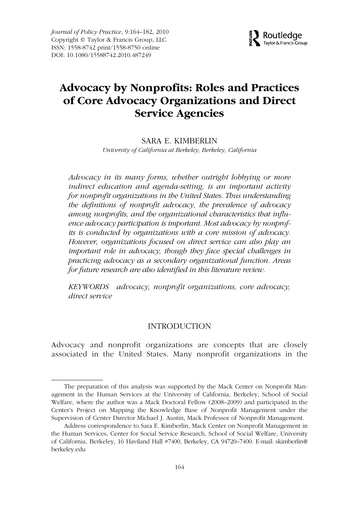*Journal of Policy Practice*, 9:164–182, 2010 Copyright © Taylor & Francis Group, LLC ISSN: 1558-8742 print/1558-8750 online DOI: 10.1080/15588742.2010.487249



# WJPP 1558-8742 1558-8750Journal of Policy Practice, Vol. 9, No. 3-4, May 2010: pp. 0–0 Practice **Advocacy by Nonprofits: Roles and Practices of Core Advocacy Organizations and Direct Service Agencies**

SARA E. KIMBERLIN *University of California at Berkeley, Berkeley, California*

*Advocacy in its many forms, whether outright lobbying or more indirect education and agenda-setting, is an important activity for nonprofit organizations in the United States. Thus understanding the definitions of nonprofit advocacy, the prevalence of advocacy among nonprofits, and the organizational characteristics that influence advocacy participation is important. Most advocacy by nonprofits is conducted by organizations with a core mission of advocacy. However, organizations focused on direct service can also play an important role in advocacy, though they face special challenges in practicing advocacy as a secondary organizational function. Areas for future research are also identified in this literature review.*

*KEYWORDS advocacy, nonprofit organizations, core advocacy, direct service*

### INTRODUCTION

Advocacy and nonprofit organizations are concepts that are closely associated in the United States. Many nonprofit organizations in the

The preparation of this analysis was supported by the Mack Center on Nonprofit Management in the Human Services at the University of California, Berkeley, School of Social Welfare, where the author was a Mack Doctoral Fellow (2008–2009) and participated in the Center's Project on Mapping the Knowledge Base of Nonprofit Management under the Supervision of Center Director Michael J. Austin, Mack Professor of Nonprofit Management.

Address correspondence to Sara E. Kimberlin, Mack Center on Nonprofit Management in the Human Services, Center for Social Service Research, School of Social Welfare, University of California, Berkeley, 16 Haviland Hall #7400, Berkeley, CA 94720–7400. E-mail: skimberlin@ berkeley.edu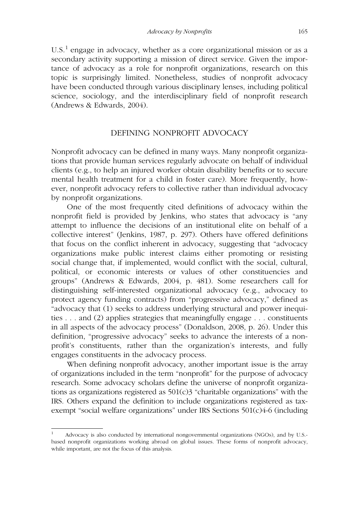$U.S.<sup>1</sup>$  engage in advocacy, whether as a core organizational mission or as a secondary activity supporting a mission of direct service. Given the importance of advocacy as a role for nonprofit organizations, research on this topic is surprisingly limited. Nonetheless, studies of nonprofit advocacy have been conducted through various disciplinary lenses, including political science, sociology, and the interdisciplinary field of nonprofit research (Andrews & Edwards, 2004).

### DEFINING NONPROFIT ADVOCACY

Nonprofit advocacy can be defined in many ways. Many nonprofit organizations that provide human services regularly advocate on behalf of individual clients (e.g., to help an injured worker obtain disability benefits or to secure mental health treatment for a child in foster care). More frequently, however, nonprofit advocacy refers to collective rather than individual advocacy by nonprofit organizations.

One of the most frequently cited definitions of advocacy within the nonprofit field is provided by Jenkins, who states that advocacy is "any attempt to influence the decisions of an institutional elite on behalf of a collective interest" (Jenkins, 1987, p. 297). Others have offered definitions that focus on the conflict inherent in advocacy, suggesting that "advocacy organizations make public interest claims either promoting or resisting social change that, if implemented, would conflict with the social, cultural, political, or economic interests or values of other constituencies and groups" (Andrews & Edwards, 2004, p. 481). Some researchers call for distinguishing self-interested organizational advocacy (e.g., advocacy to protect agency funding contracts) from "progressive advocacy," defined as "advocacy that (1) seeks to address underlying structural and power inequities . . . and (2) applies strategies that meaningfully engage . . . constituents in all aspects of the advocacy process" (Donaldson, 2008, p. 26). Under this definition, "progressive advocacy" seeks to advance the interests of a nonprofit's constituents, rather than the organization's interests, and fully engages constituents in the advocacy process.

When defining nonprofit advocacy, another important issue is the array of organizations included in the term "nonprofit" for the purpose of advocacy research. Some advocacy scholars define the universe of nonprofit organizations as organizations registered as  $501(c)3$  "charitable organizations" with the IRS. Others expand the definition to include organizations registered as taxexempt "social welfare organizations" under IRS Sections 501(c)4-6 (including

<sup>1</sup> Advocacy is also conducted by international nongovernmental organizations (NGOs), and by U.S. based nonprofit organizations working abroad on global issues. These forms of nonprofit advocacy, while important, are not the focus of this analysis.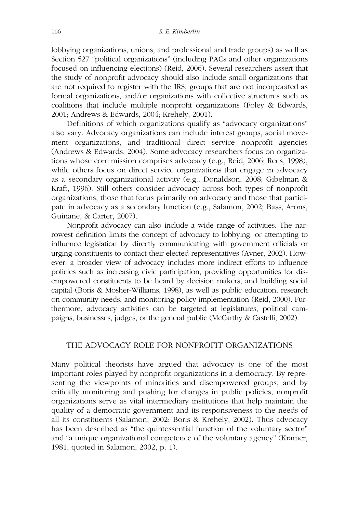lobbying organizations, unions, and professional and trade groups) as well as Section 527 "political organizations" (including PACs and other organizations focused on influencing elections) (Reid, 2006). Several researchers assert that the study of nonprofit advocacy should also include small organizations that are not required to register with the IRS, groups that are not incorporated as formal organizations, and/or organizations with collective structures such as coalitions that include multiple nonprofit organizations (Foley & Edwards, 2001; Andrews & Edwards, 2004; Krehely, 2001).

Definitions of which organizations qualify as "advocacy organizations" also vary. Advocacy organizations can include interest groups, social movement organizations, and traditional direct service nonprofit agencies (Andrews & Edwards, 2004). Some advocacy researchers focus on organizations whose core mission comprises advocacy (e.g., Reid, 2006; Rees, 1998), while others focus on direct service organizations that engage in advocacy as a secondary organizational activity (e.g., Donaldson, 2008; Gibelman & Kraft, 1996). Still others consider advocacy across both types of nonprofit organizations, those that focus primarily on advocacy and those that participate in advocacy as a secondary function (e.g., Salamon, 2002; Bass, Arons, Guinane, & Carter, 2007).

Nonprofit advocacy can also include a wide range of activities. The narrowest definition limits the concept of advocacy to lobbying, or attempting to influence legislation by directly communicating with government officials or urging constituents to contact their elected representatives (Avner, 2002). However, a broader view of advocacy includes more indirect efforts to influence policies such as increasing civic participation, providing opportunities for disempowered constituents to be heard by decision makers, and building social capital (Boris & Mosher-Williams, 1998), as well as public education, research on community needs, and monitoring policy implementation (Reid, 2000). Furthermore, advocacy activities can be targeted at legislatures, political campaigns, businesses, judges, or the general public (McCarthy & Castelli, 2002).

### THE ADVOCACY ROLE FOR NONPROFIT ORGANIZATIONS

Many political theorists have argued that advocacy is one of the most important roles played by nonprofit organizations in a democracy. By representing the viewpoints of minorities and disempowered groups, and by critically monitoring and pushing for changes in public policies, nonprofit organizations serve as vital intermediary institutions that help maintain the quality of a democratic government and its responsiveness to the needs of all its constituents (Salamon, 2002; Boris & Krehely, 2002). Thus advocacy has been described as "the quintessential function of the voluntary sector" and "a unique organizational competence of the voluntary agency" (Kramer, 1981, quoted in Salamon, 2002, p. 1).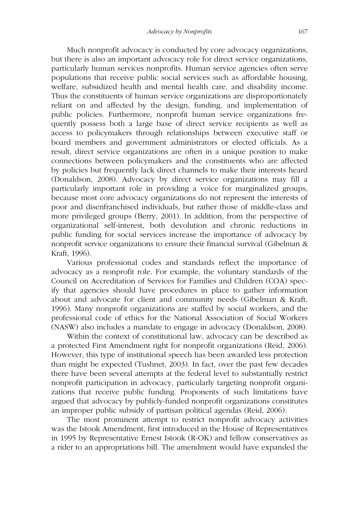Much nonprofit advocacy is conducted by core advocacy organizations, but there is also an important advocacy role for direct service organizations, particularly human services nonprofits. Human service agencies often serve populations that receive public social services such as affordable housing, welfare, subsidized health and mental health care, and disability income. Thus the constituents of human service organizations are disproportionately reliant on and affected by the design, funding, and implementation of public policies. Furthermore, nonprofit human service organizations frequently possess both a large base of direct service recipients as well as access to policymakers through relationships between executive staff or board members and government administrators or elected officials. As a result, direct service organizations are often in a unique position to make connections between policymakers and the constituents who are affected by policies but frequently lack direct channels to make their interests heard (Donaldson, 2008). Advocacy by direct service organizations may fill a particularly important role in providing a voice for marginalized groups, because most core advocacy organizations do not represent the interests of poor and disenfranchised individuals, but rather those of middle-class and more privileged groups (Berry, 2001). In addition, from the perspective of organizational self-interest, both devolution and chronic reductions in public funding for social services increase the importance of advocacy by nonprofit service organizations to ensure their financial survival (Gibelman & Kraft, 1996).

Various professional codes and standards reflect the importance of advocacy as a nonprofit role. For example, the voluntary standards of the Council on Accreditation of Services for Families and Children (COA) specify that agencies should have procedures in place to gather information about and advocate for client and community needs (Gibelman & Kraft, 1996). Many nonprofit organizations are staffed by social workers, and the professional code of ethics for the National Association of Social Workers (NASW) also includes a mandate to engage in advocacy (Donaldson, 2008).

Within the context of constitutional law, advocacy can be described as a protected First Amendment right for nonprofit organizations (Reid, 2006). However, this type of institutional speech has been awarded less protection than might be expected (Tushnet, 2003). In fact, over the past few decades there have been several attempts at the federal level to substantially restrict nonprofit participation in advocacy, particularly targeting nonprofit organizations that receive public funding. Proponents of such limitations have argued that advocacy by publicly-funded nonprofit organizations constitutes an improper public subsidy of partisan political agendas (Reid, 2006).

The most prominent attempt to restrict nonprofit advocacy activities was the Istook Amendment, first introduced in the House of Representatives in 1995 by Representative Ernest Istook (R-OK) and fellow conservatives as a rider to an appropriations bill. The amendment would have expanded the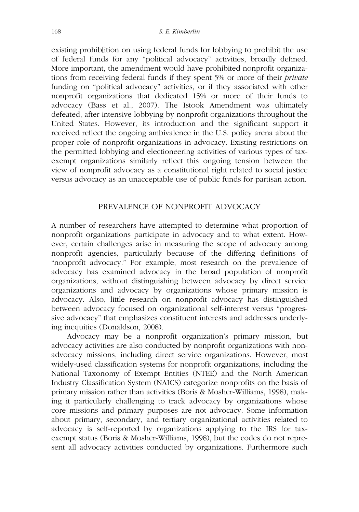existing prohib[ition on using federal funds for lobbying to prohibit the use of federal funds for any "political advocacy" activities, broadly defined. More important, the amendment would have prohibited nonprofit organizations from receiving federal funds if they spent 5% or more of their *private* funding on "political advocacy" activities, or if they associated with other nonprofit organizations that dedicated 15% or more of their funds to advocacy (Bass et al., 2007). The Istook Amendment was ultimately defeated, after intensive lobbying by nonprofit organizations throughout the United States. However, its introduction and the significant support it received reflect the ongoing ambivalence in the U.S. policy arena about the proper role of nonprofit organizations in advocacy. Existing restrictions on the permitted lobbying and electioneering activities of various types of taxexempt organizations similarly reflect this ongoing tension between the view of nonprofit advocacy as a constitutional right related to social justice versus advocacy as an unacceptable use of public funds for partisan action.

### PREVALENCE OF NONPROFIT ADVOCACY

A number of researchers have attempted to determine what proportion of nonprofit organizations participate in advocacy and to what extent. However, certain challenges arise in measuring the scope of advocacy among nonprofit agencies, particularly because of the differing definitions of "nonprofit advocacy." For example, most research on the prevalence of advocacy has examined advocacy in the broad population of nonprofit organizations, without distinguishing between advocacy by direct service organizations and advocacy by organizations whose primary mission is advocacy. Also, little research on nonprofit advocacy has distinguished between advocacy focused on organizational self-interest versus "progressive advocacy" that emphasizes constituent interests and addresses underlying inequities (Donaldson, 2008).

Advocacy may be a nonprofit organization's primary mission, but advocacy activities are also conducted by nonprofit organizations with nonadvocacy missions, including direct service organizations. However, most widely-used classification systems for nonprofit organizations, including the National Taxonomy of Exempt Entities (NTEE) and the North American Industry Classification System (NAICS) categorize nonprofits on the basis of primary mission rather than activities (Boris & Mosher-Williams, 1998), making it particularly challenging to track advocacy by organizations whose core missions and primary purposes are not advocacy. Some information about primary, secondary, and tertiary organizational activities related to advocacy is self-reported by organizations applying to the IRS for taxexempt status (Boris & Mosher-Williams, 1998), but the codes do not represent all advocacy activities conducted by organizations. Furthermore such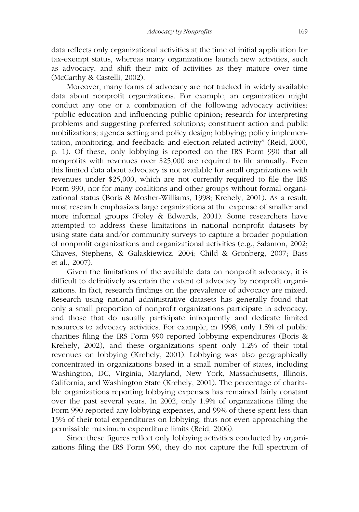data reflects only organizational activities at the time of initial application for tax-exempt status, whereas many organizations launch new activities, such as advocacy, and shift their mix of activities as they mature over time (McCarthy & Castelli, 2002).

Moreover, many forms of advocacy are not tracked in widely available data about nonprofit organizations. For example, an organization might conduct any one or a combination of the following advocacy activities: "public education and influencing public opinion; research for interpreting problems and suggesting preferred solutions; constituent action and public mobilizations; agenda setting and policy design; lobbying; policy implementation, monitoring, and feedback; and election-related activity" (Reid, 2000, p. 1). Of these, only lobbying is reported on the IRS Form 990 that all nonprofits with revenues over \$25,000 are required to file annually. Even this limited data about advocacy is not available for small organizations with revenues under \$25,000, which are not currently required to file the IRS Form 990, nor for many coalitions and other groups without formal organizational status (Boris & Mosher-Williams, 1998; Krehely, 2001). As a result, most research emphasizes large organizations at the expense of smaller and more informal groups (Foley & Edwards, 2001). Some researchers have attempted to address these limitations in national nonprofit datasets by using state data and/or community surveys to capture a broader population of nonprofit organizations and organizational activities (e.g., Salamon, 2002; Chaves, Stephens, & Galaskiewicz, 2004; Child & Gronberg, 2007; Bass et al., 2007).

Given the limitations of the available data on nonprofit advocacy, it is difficult to definitively ascertain the extent of advocacy by nonprofit organizations. In fact, research findings on the prevalence of advocacy are mixed. Research using national administrative datasets has generally found that only a small proportion of nonprofit organizations participate in advocacy, and those that do usually participate infrequently and dedicate limited resources to advocacy activities. For example, in 1998, only 1.5% of public charities filing the IRS Form 990 reported lobbying expenditures (Boris & Krehely, 2002), and these organizations spent only 1.2% of their total revenues on lobbying (Krehely, 2001). Lobbying was also geographically concentrated in organizations based in a small number of states, including Washington, DC, Virginia, Maryland, New York, Massachusetts, Illinois, California, and Washington State (Krehely, 2001). The percentage of charitable organizations reporting lobbying expenses has remained fairly constant over the past several years. In 2002, only 1.9% of organizations filing the Form 990 reported any lobbying expenses, and 99% of these spent less than 15% of their total expenditures on lobbying, thus not even approaching the permissible maximum expenditure limits (Reid, 2006).

Since these figures reflect only lobbying activities conducted by organizations filing the IRS Form 990, they do not capture the full spectrum of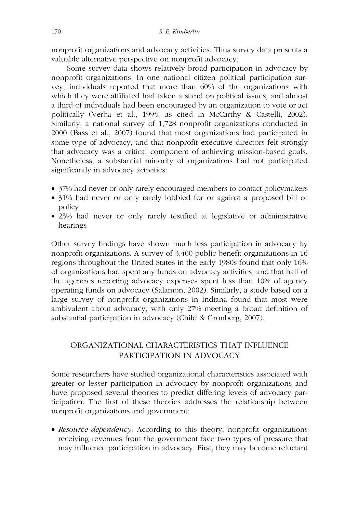nonprofit organizations and advocacy activities. Thus survey data presents a valuable alternative perspective on nonprofit advocacy.

Some survey data shows relatively broad participation in advocacy by nonprofit organizations. In one national citizen political participation survey, individuals reported that more than 60% of the organizations with which they were affiliated had taken a stand on political issues, and almost a third of individuals had been encouraged by an organization to vote or act politically (Verba et al., 1995, as cited in McCarthy & Castelli, 2002). Similarly, a national survey of 1,728 nonprofit organizations conducted in 2000 (Bass et al., 2007) found that most organizations had participated in some type of advocacy, and that nonprofit executive directors felt strongly that advocacy was a critical component of achieving mission-based goals. Nonetheless, a substantial minority of organizations had not participated significantly in advocacy activities:

- 37% had never or only rarely encouraged members to contact policymakers
- 31% had never or only rarely lobbied for or against a proposed bill or policy
- 23% had never or only rarely testified at legislative or administrative hearings

Other survey findings have shown much less participation in advocacy by nonprofit organizations. A survey of 3,400 public benefit organizations in 16 regions throughout the United States in the early 1980s found that only 16% of organizations had spent any funds on advocacy activities, and that half of the agencies reporting advocacy expenses spent less than 10% of agency operating funds on advocacy (Salamon, 2002). Similarly, a study based on a large survey of nonprofit organizations in Indiana found that most were ambivalent about advocacy, with only 27% meeting a broad definition of substantial participation in advocacy (Child & Gronberg, 2007).

### ORGANIZATIONAL CHARACTERISTICS THAT INFLUENCE PARTICIPATION IN ADVOCACY

Some researchers have studied organizational characteristics associated with greater or lesser participation in advocacy by nonprofit organizations and have proposed several theories to predict differing levels of advocacy participation. The first of these theories addresses the relationship between nonprofit organizations and government:

• *Resource dependency*: According to this theory, nonprofit organizations receiving revenues from the government face two types of pressure that may influence participation in advocacy. First, they may become reluctant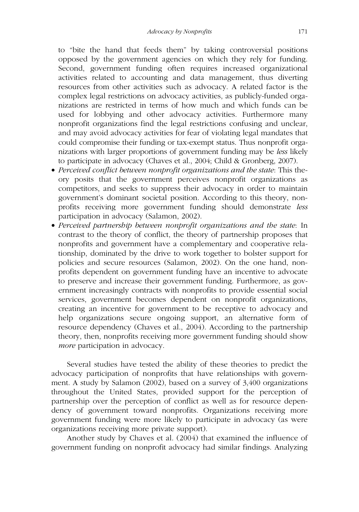to "bite the hand that feeds them" by taking controversial positions opposed by the government agencies on which they rely for funding. Second, government funding often requires increased organizational activities related to accounting and data management, thus diverting resources from other activities such as advocacy. A related factor is the complex legal restrictions on advocacy activities, as publicly-funded organizations are restricted in terms of how much and which funds can be used for lobbying and other advocacy activities. Furthermore many nonprofit organizations find the legal restrictions confusing and unclear, and may avoid advocacy activities for fear of violating legal mandates that could compromise their funding or tax-exempt status. Thus nonprofit organizations with larger proportions of government funding may be *less* likely to participate in advocacy (Chaves et al., 2004; Child & Gronberg, 2007).

- *Perceived conflict between nonprofit organizations and the state*: This theory posits that the government perceives nonprofit organizations as competitors, and seeks to suppress their advocacy in order to maintain government's dominant societal position. According to this theory, nonprofits receiving more government funding should demonstrate *less* participation in advocacy (Salamon, 2002).
- *Perceived partnership between nonprofit organizations and the state*: In contrast to the theory of conflict, the theory of partnership proposes that nonprofits and government have a complementary and cooperative relationship, dominated by the drive to work together to bolster support for policies and secure resources (Salamon, 2002). On the one hand, nonprofits dependent on government funding have an incentive to advocate to preserve and increase their government funding. Furthermore, as government increasingly contracts with nonprofits to provide essential social services, government becomes dependent on nonprofit organizations, creating an incentive for government to be receptive to advocacy and help organizations secure ongoing support, an alternative form of resource dependency (Chaves et al., 2004). According to the partnership theory, then, nonprofits receiving more government funding should show *more* participation in advocacy.

Several studies have tested the ability of these theories to predict the advocacy participation of nonprofits that have relationships with government. A study by Salamon (2002), based on a survey of 3,400 organizations throughout the United States, provided support for the perception of partnership over the perception of conflict as well as for resource dependency of government toward nonprofits. Organizations receiving more government funding were more likely to participate in advocacy (as were organizations receiving more private support).

Another study by Chaves et al. (2004) that examined the influence of government funding on nonprofit advocacy had similar findings. Analyzing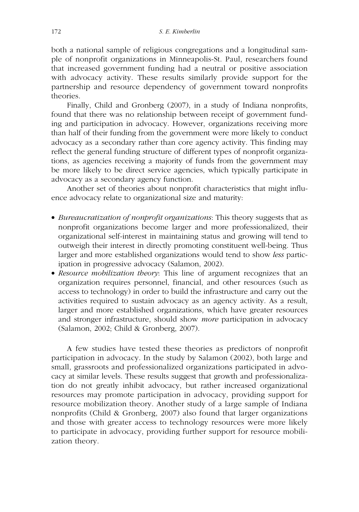both a national sample of religious congregations and a longitudinal sample of nonprofit organizations in Minneapolis-St. Paul, researchers found that increased government funding had a neutral or positive association with advocacy activity. These results similarly provide support for the partnership and resource dependency of government toward nonprofits theories.

Finally, Child and Gronberg (2007), in a study of Indiana nonprofits, found that there was no relationship between receipt of government funding and participation in advocacy. However, organizations receiving more than half of their funding from the government were more likely to conduct advocacy as a secondary rather than core agency activity. This finding may reflect the general funding structure of different types of nonprofit organizations, as agencies receiving a majority of funds from the government may be more likely to be direct service agencies, which typically participate in advocacy as a secondary agency function.

Another set of theories about nonprofit characteristics that might influence advocacy relate to organizational size and maturity:

- *Bureaucratization of nonprofit organizations*: This theory suggests that as nonprofit organizations become larger and more professionalized, their organizational self-interest in maintaining status and growing will tend to outweigh their interest in directly promoting constituent well-being. Thus larger and more established organizations would tend to show *less* participation in progressive advocacy (Salamon, 2002).
- *Resource mobilization theory*: This line of argument recognizes that an organization requires personnel, financial, and other resources (such as access to technology) in order to build the infrastructure and carry out the activities required to sustain advocacy as an agency activity. As a result, larger and more established organizations, which have greater resources and stronger infrastructure, should show *more* participation in advocacy (Salamon, 2002; Child & Gronberg, 2007).

A few studies have tested these theories as predictors of nonprofit participation in advocacy. In the study by Salamon (2002), both large and small, grassroots and professionalized organizations participated in advocacy at similar levels. These results suggest that growth and professionalization do not greatly inhibit advocacy, but rather increased organizational resources may promote participation in advocacy, providing support for resource mobilization theory. Another study of a large sample of Indiana nonprofits (Child & Gronberg, 2007) also found that larger organizations and those with greater access to technology resources were more likely to participate in advocacy, providing further support for resource mobilization theory.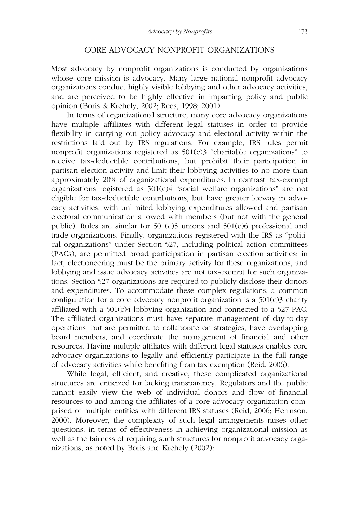### CORE ADVOCACY NONPROFIT ORGANIZATIONS

Most advocacy by nonprofit organizations is conducted by organizations whose core mission is advocacy. Many large national nonprofit advocacy organizations conduct highly visible lobbying and other advocacy activities, and are perceived to be highly effective in impacting policy and public opinion (Boris & Krehely, 2002; Rees, 1998; 2001).

In terms of organizational structure, many core advocacy organizations have multiple affiliates with different legal statuses in order to provide flexibility in carrying out policy advocacy and electoral activity within the restrictions laid out by IRS regulations. For example, IRS rules permit nonprofit organizations registered as  $501(c)3$  "charitable organizations" to receive tax-deductible contributions, but prohibit their participation in partisan election activity and limit their lobbying activities to no more than approximately 20% of organizational expenditures. In contrast, tax-exempt organizations registered as  $501(c)4$  "social welfare organizations" are not eligible for tax-deductible contributions, but have greater leeway in advocacy activities, with unlimited lobbying expenditures allowed and partisan electoral communication allowed with members (but not with the general public). Rules are similar for  $501(c)5$  unions and  $501(c)6$  professional and trade organizations. Finally, organizations registered with the IRS as "political organizations" under Section 527, including political action committees (PACs), are permitted broad participation in partisan election activities; in fact, electioneering must be the primary activity for these organizations, and lobbying and issue advocacy activities are not tax-exempt for such organizations. Section 527 organizations are required to publicly disclose their donors and expenditures. To accommodate these complex regulations, a common configuration for a core advocacy nonprofit organization is a  $501(c)3$  charity affiliated with a 501(c)4 lobbying organization and connected to a 527 PAC. The affiliated organizations must have separate management of day-to-day operations, but are permitted to collaborate on strategies, have overlapping board members, and coordinate the management of financial and other resources. Having multiple affiliates with different legal statuses enables core advocacy organizations to legally and efficiently participate in the full range of advocacy activities while benefiting from tax exemption (Reid, 2006).

While legal, efficient, and creative, these complicated organizational structures are criticized for lacking transparency. Regulators and the public cannot easily view the web of individual donors and flow of financial resources to and among the affiliates of a core advocacy organization comprised of multiple entities with different IRS statuses (Reid, 2006; Herrnson, 2000). Moreover, the complexity of such legal arrangements raises other questions, in terms of effectiveness in achieving organizational mission as well as the fairness of requiring such structures for nonprofit advocacy organizations, as noted by Boris and Krehely (2002):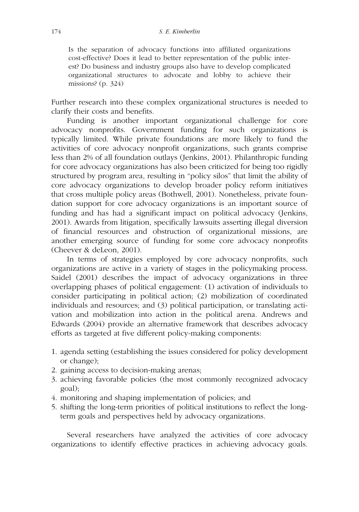Is the separation of advocacy functions into affiliated organizations cost-effective? Does it lead to better representation of the public interest? Do business and industry groups also have to develop complicated organizational structures to advocate and lobby to achieve their missions? (p. 324)

Further research into these complex organizational structures is needed to clarify their costs and benefits.

Funding is another important organizational challenge for core advocacy nonprofits. Government funding for such organizations is typically limited. While private foundations are more likely to fund the activities of core advocacy nonprofit organizations, such grants comprise less than 2% of all foundation outlays (Jenkins, 2001). Philanthropic funding for core advocacy organizations has also been criticized for being too rigidly structured by program area, resulting in "policy silos" that limit the ability of core advocacy organizations to develop broader policy reform initiatives that cross multiple policy areas (Bothwell, 2001). Nonetheless, private foundation support for core advocacy organizations is an important source of funding and has had a significant impact on political advocacy (Jenkins, 2001). Awards from litigation, specifically lawsuits asserting illegal diversion of financial resources and obstruction of organizational missions, are another emerging source of funding for some core advocacy nonprofits (Cheever & deLeon, 2001).

In terms of strategies employed by core advocacy nonprofits, such organizations are active in a variety of stages in the policymaking process. Saidel (2001) describes the impact of advocacy organizations in three overlapping phases of political engagement: (1) activation of individuals to consider participating in political action; (2) mobilization of coordinated individuals and resources; and (3) political participation, or translating activation and mobilization into action in the political arena. Andrews and Edwards (2004) provide an alternative framework that describes advocacy efforts as targeted at five different policy-making components:

- 1. agenda setting (establishing the issues considered for policy development or change);
- 2. gaining access to decision-making arenas;
- 3. achieving favorable policies (the most commonly recognized advocacy goal);
- 4. monitoring and shaping implementation of policies; and
- 5. shifting the long-term priorities of political institutions to reflect the longterm goals and perspectives held by advocacy organizations.

Several researchers have analyzed the activities of core advocacy organizations to identify effective practices in achieving advocacy goals.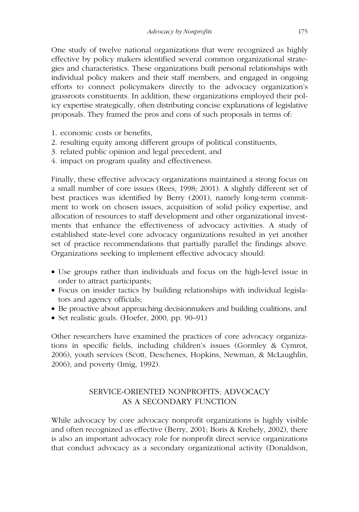One study of twelve national organizations that were recognized as highly effective by policy makers identified several common organizational strategies and characteristics. These organizations built personal relationships with individual policy makers and their staff members, and engaged in ongoing efforts to connect policymakers directly to the advocacy organization's grassroots constituents. In addition, these organizations employed their policy expertise strategically, often distributing concise explanations of legislative proposals. They framed the pros and cons of such proposals in terms of:

- 1. economic costs or benefits,
- 2. resulting equity among different groups of political constituents,
- 3. related public opinion and legal precedent, and
- 4. impact on program quality and effectiveness.

Finally, these effective advocacy organizations maintained a strong focus on a small number of core issues (Rees, 1998; 2001). A slightly different set of best practices was identified by Berry (2001), namely long-term commitment to work on chosen issues, acquisition of solid policy expertise, and allocation of resources to staff development and other organizational investments that enhance the effectiveness of advocacy activities. A study of established state-level core advocacy organizations resulted in yet another set of practice recommendations that partially parallel the findings above. Organizations seeking to implement effective advocacy should:

- Use groups rather than individuals and focus on the high-level issue in order to attract participants;
- Focus on insider tactics by building relationships with individual legislators and agency officials;
- Be proactive about approaching decisionmakers and building coalitions, and
- Set realistic goals. (Hoefer, 2000, pp. 90–91)

Other researchers have examined the practices of core advocacy organizations in specific fields, including children's issues (Gormley & Cymrot, 2006), youth services (Scott, Deschenes, Hopkins, Newman, & McLaughlin, 2006), and poverty (Imig, 1992).

## SERVICE-ORIENTED NONPROFITS: ADVOCACY AS A SECONDARY FUNCTION

While advocacy by core advocacy nonprofit organizations is highly visible and often recognized as effective (Berry, 2001; Boris & Krehely, 2002), there is also an important advocacy role for nonprofit direct service organizations that conduct advocacy as a secondary organizational activity (Donaldson,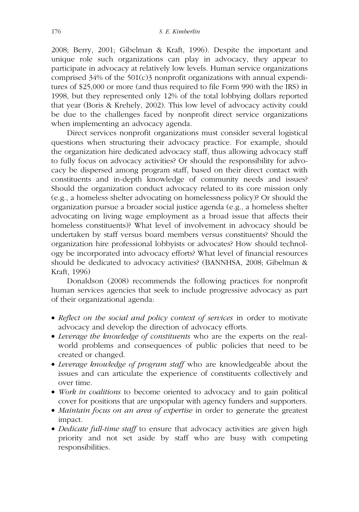2008; Berry, 2001; Gibelman & Kraft, 1996). Despite the important and unique role such organizations can play in advocacy, they appear to participate in advocacy at relatively low levels. Human service organizations comprised 34% of the 501(c)3 nonprofit organizations with annual expenditures of \$25,000 or more (and thus required to file Form 990 with the IRS) in 1998, but they represented only 12% of the total lobbying dollars reported that year (Boris & Krehely, 2002). This low level of advocacy activity could be due to the challenges faced by nonprofit direct service organizations when implementing an advocacy agenda.

Direct services nonprofit organizations must consider several logistical questions when structuring their advocacy practice. For example, should the organization hire dedicated advocacy staff, thus allowing advocacy staff to fully focus on advocacy activities? Or should the responsibility for advocacy be dispersed among program staff, based on their direct contact with constituents and in-depth knowledge of community needs and issues? Should the organization conduct advocacy related to its core mission only (e.g., a homeless shelter advocating on homelessness policy)? Or should the organization pursue a broader social justice agenda (e.g., a homeless shelter advocating on living wage employment as a broad issue that affects their homeless constituents)? What level of involvement in advocacy should be undertaken by staff versus board members versus constituents? Should the organization hire professional lobbyists or advocates? How should technology be incorporated into advocacy efforts? What level of financial resources should be dedicated to advocacy activities? (BANNHSA, 2008; Gibelman & Kraft, 1996)

Donaldson (2008) recommends the following practices for nonprofit human services agencies that seek to include progressive advocacy as part of their organizational agenda:

- *Reflect on the social and policy context of services* in order to motivate advocacy and develop the direction of advocacy efforts.
- *Leverage the knowledge of constituents* who are the experts on the realworld problems and consequences of public policies that need to be created or changed.
- *Leverage knowledge of program staff* who are knowledgeable about the issues and can articulate the experience of constituents collectively and over time.
- *Work in coalitions* to become oriented to advocacy and to gain political cover for positions that are unpopular with agency funders and supporters.
- *Maintain focus on an area of expertise* in order to generate the greatest impact.
- *Dedicate full-time staff* to ensure that advocacy activities are given high priority and not set aside by staff who are busy with competing responsibilities.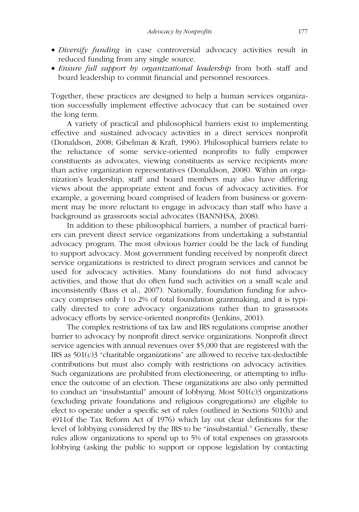- *Diversify funding* in case controversial advocacy activities result in reduced funding from any single source.
- *Ensure full support by organizational leadership* from both staff and board leadership to commit financial and personnel resources.

Together, these practices are designed to help a human services organization successfully implement effective advocacy that can be sustained over the long term.

A variety of practical and philosophical barriers exist to implementing effective and sustained advocacy activities in a direct services nonprofit (Donaldson, 2008; Gibelman & Kraft, 1996). Philosophical barriers relate to the reluctance of some service-oriented nonprofits to fully empower constituents as advocates, viewing constituents as service recipients more than active organization representatives (Donaldson, 2008). Within an organization's leadership, staff and board members may also have differing views about the appropriate extent and focus of advocacy activities. For example, a governing board comprised of leaders from business or government may be more reluctant to engage in advocacy than staff who have a background as grassroots social advocates (BANNHSA, 2008).

In addition to these philosophical barriers, a number of practical barriers can prevent direct service organizations from undertaking a substantial advocacy program. The most obvious barrier could be the lack of funding to support advocacy. Most government funding received by nonprofit direct service organizations is restricted to direct program services and cannot be used for advocacy activities. Many foundations do not fund advocacy activities, and those that do often fund such activities on a small scale and inconsistently (Bass et al., 2007). Nationally, foundation funding for advocacy comprises only 1 to 2% of total foundation grantmaking, and it is typically directed to core advocacy organizations rather than to grassroots advocacy efforts by service-oriented nonprofits (Jenkins, 2001).

The complex restrictions of tax law and IRS regulations comprise another barrier to advocacy by nonprofit direct service organizations. Nonprofit direct service agencies with annual revenues over \$5,000 that are registered with the IRS as  $501(c)3$  "charitable organizations" are allowed to receive tax-deductible contributions but must also comply with restrictions on advocacy activities. Such organizations are prohibited from electioneering, or attempting to influence the outcome of an election. These organizations are also only permitted to conduct an "insubstantial" amount of lobbying. Most 501(c)3 organizations (excluding private foundations and religious congregations) are eligible to elect to operate under a specific set of rules (outlined in Sections 501(h) and 4911of the Tax Reform Act of 1976) which lay out clear definitions for the level of lobbying considered by the IRS to be "insubstantial." Generally, these rules allow organizations to spend up to 5% of total expenses on grassroots lobbying (asking the public to support or oppose legislation by contacting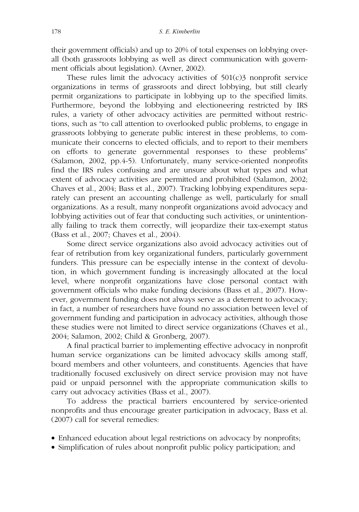their government officials) and up to 20% of total expenses on lobbying overall (both grassroots lobbying as well as direct communication with government officials about legislation). (Avner, 2002).

These rules limit the advocacy activities of  $501(c)3$  nonprofit service organizations in terms of grassroots and direct lobbying, but still clearly permit organizations to participate in lobbying up to the specified limits. Furthermore, beyond the lobbying and electioneering restricted by IRS rules, a variety of other advocacy activities are permitted without restrictions, such as "to call attention to overlooked public problems, to engage in grassroots lobbying to generate public interest in these problems, to communicate their concerns to elected officials, and to report to their members on efforts to generate governmental responses to these problems" (Salamon, 2002, pp.4-5). Unfortunately, many service-oriented nonprofits find the IRS rules confusing and are unsure about what types and what extent of advocacy activities are permitted and prohibited (Salamon, 2002; Chaves et al., 2004; Bass et al., 2007). Tracking lobbying expenditures separately can present an accounting challenge as well, particularly for small organizations. As a result, many nonprofit organizations avoid advocacy and lobbying activities out of fear that conducting such activities, or unintentionally failing to track them correctly, will jeopardize their tax-exempt status (Bass et al., 2007; Chaves et al., 2004).

Some direct service organizations also avoid advocacy activities out of fear of retribution from key organizational funders, particularly government funders. This pressure can be especially intense in the context of devolution, in which government funding is increasingly allocated at the local level, where nonprofit organizations have close personal contact with government officials who make funding decisions (Bass et al., 2007). However, government funding does not always serve as a deterrent to advocacy; in fact, a number of researchers have found no association between level of government funding and participation in advocacy activities, although those these studies were not limited to direct service organizations (Chaves et al., 2004; Salamon, 2002; Child & Gronberg, 2007).

A final practical barrier to implementing effective advocacy in nonprofit human service organizations can be limited advocacy skills among staff, board members and other volunteers, and constituents. Agencies that have traditionally focused exclusively on direct service provision may not have paid or unpaid personnel with the appropriate communication skills to carry out advocacy activities (Bass et al., 2007).

To address the practical barriers encountered by service-oriented nonprofits and thus encourage greater participation in advocacy, Bass et al. (2007) call for several remedies:

- Enhanced education about legal restrictions on advocacy by nonprofits;
- Simplification of rules about nonprofit public policy participation; and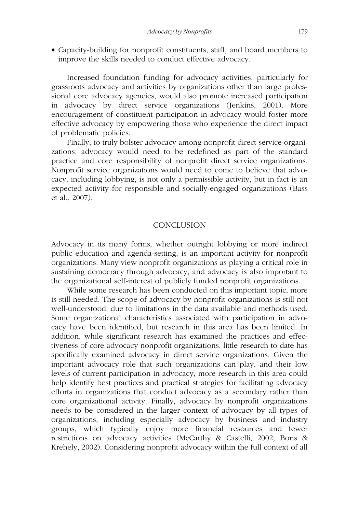• Capacity-building for nonprofit constituents, staff, and board members to improve the skills needed to conduct effective advocacy.

Increased foundation funding for advocacy activities, particularly for grassroots advocacy and activities by organizations other than large professional core advocacy agencies, would also promote increased participation in advocacy by direct service organizations (Jenkins, 2001). More encouragement of constituent participation in advocacy would foster more effective advocacy by empowering those who experience the direct impact of problematic policies.

Finally, to truly bolster advocacy among nonprofit direct service organizations, advocacy would need to be redefined as part of the standard practice and core responsibility of nonprofit direct service organizations. Nonprofit service organizations would need to come to believe that advocacy, including lobbying, is not only a permissible activity, but in fact is an expected activity for responsible and socially-engaged organizations (Bass et al., 2007).

### **CONCLUSION**

Advocacy in its many forms, whether outright lobbying or more indirect public education and agenda-setting, is an important activity for nonprofit organizations. Many view nonprofit organizations as playing a critical role in sustaining democracy through advocacy, and advocacy is also important to the organizational self-interest of publicly funded nonprofit organizations.

While some research has been conducted on this important topic, more is still needed. The scope of advocacy by nonprofit organizations is still not well-understood, due to limitations in the data available and methods used. Some organizational characteristics associated with participation in advocacy have been identified, but research in this area has been limited. In addition, while significant research has examined the practices and effectiveness of core advocacy nonprofit organizations, little research to date has specifically examined advocacy in direct service organizations. Given the important advocacy role that such organizations can play, and their low levels of current participation in advocacy, more research in this area could help identify best practices and practical strategies for facilitating advocacy efforts in organizations that conduct advocacy as a secondary rather than core organizational activity. Finally, advocacy by nonprofit organizations needs to be considered in the larger context of advocacy by all types of organizations, including especially advocacy by business and industry groups, which typically enjoy more financial resources and fewer restrictions on advocacy activities (McCarthy & Castelli, 2002; Boris & Krehely, 2002). Considering nonprofit advocacy within the full context of all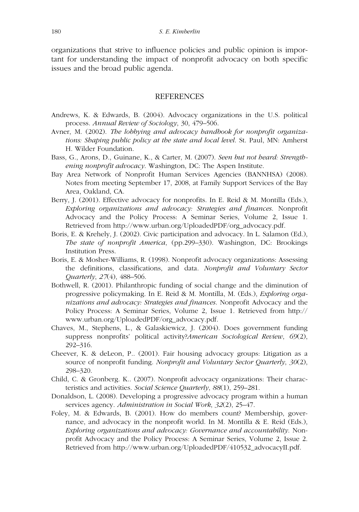organizations that strive to influence policies and public opinion is important for understanding the impact of nonprofit advocacy on both specific issues and the broad public agenda.

#### REFERENCES

- Andrews, K. & Edwards, B. (2004). Advocacy organizations in the U.S. political process. *Annual Review of Sociology*, 30, 479–506.
- Avner, M. (2002). *The lobbying and advocacy handbook for nonprofit organizations: Shaping public policy at the state and local level*. St. Paul, MN: Amherst H. Wilder Foundation.
- Bass, G., Arons, D., Guinane, K., & Carter, M. (2007). *Seen but not heard: Strengthening nonprofit advocacy*. Washington, DC: The Aspen Institute.
- Bay Area Network of Nonprofit Human Services Agencies (BANNHSA) (2008). Notes from meeting September 17, 2008, at Family Support Services of the Bay Area, Oakland, CA.
- Berry, J. (2001). Effective advocacy for nonprofits. In E. Reid & M. Montilla (Eds.), *Exploring organizations and advocacy: Strategies and finances*. Nonprofit Advocacy and the Policy Process: A Seminar Series, Volume 2, Issue 1. Retrieved from http://www.urban.org/UploadedPDF/org\_advocacy.pdf.
- Boris, E. & Krehely, J. (2002). Civic participation and advocacy. In L. Salamon (Ed.), *The state of nonprofit America*, (pp.299–330). Washington, DC: Brookings Institution Press.
- Boris, E. & Mosher-Williams, R. (1998). Nonprofit advocacy organizations: Assessing the definitions, classifications, and data. *Nonprofit and Voluntary Sector Quarterly*, *27*(4), 488–506.
- Bothwell, R. (2001). Philanthropic funding of social change and the diminution of progressive policymaking. In E. Reid & M. Montilla, M. (Eds.), *Exploring organizations and advocacy: Strategies and finances*. Nonprofit Advocacy and the Policy Process: A Seminar Series, Volume 2, Issue 1. Retrieved from http:// www.urban.org/UploadedPDF/org\_advocacy.pdf.
- Chaves, M., Stephens, L., & Galaskiewicz, J. (2004). Does government funding suppress nonprofits' political activity?*American Sociological Review*, *69*(2), 292–316.
- Cheever, K. & deLeon, P.. (2001). Fair housing advocacy groups: Litigation as a source of nonprofit funding. *Nonprofit and Voluntary Sector Quarterly*, *30*(2), 298–320.
- Child, C. & Gronberg. K.. (2007). Nonprofit advocacy organizations: Their characteristics and activities. *Social Science Quarterly*, *88*(1), 259–281.
- Donaldson, L. (2008). Developing a progressive advocacy program within a human services agency. *Administration in Social Work*, *32*(2), 25–47.
- Foley, M. & Edwards, B. (2001). How do members count? Membership, governance, and advocacy in the nonprofit world. In M. Montilla & E. Reid (Eds.), *Exploring organizations and advocacy: Governance and accountability*. Nonprofit Advocacy and the Policy Process: A Seminar Series, Volume 2, Issue 2. Retrieved from http://www.urban.org/UploadedPDF/410532\_advocacyII.pdf.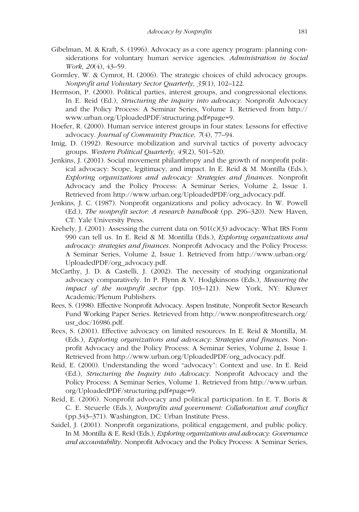- Gibelman, M. & Kraft, S. (1996). Advocacy as a core agency program: planning considerations for voluntary human service agencies. *Administration in Social Work*, *20*(4), 43–59.
- Gormley, W. & Cymrot, H. (2006). The strategic choices of child advocacy groups. *Nonprofit and Voluntary Sector Quarterly*, *35*(1), 102–122.
- Herrnson, P. (2000). Political parties, interest groups, and congressional elections. In E. Reid (Ed.), *Structuring the inquiry into advocacy*. Nonprofit Advocacy and the Policy Process: A Seminar Series, Volume 1. Retrieved from http:// www.urban.org/UploadedPDF/structuring.pdf#page=9.
- Hoefer, R. (2000). Human service interest groups in four states: Lessons for effective advocacy. *Journal of Community Practice*, *7*(4), 77–94.
- Imig, D. (1992). Resource mobilization and survival tactics of poverty advocacy groups. *Western Political Quarterly*, *45*(2), 501–520.
- Jenkins, J. (2001). Social movement philanthropy and the growth of nonprofit political advocacy: Scope, legitimacy, and impact. In E. Reid & M. Montilla (Eds.), *Exploring organizations and advocacy: Strategies and finances*. Nonprofit Advocacy and the Policy Process: A Seminar Series, Volume 2, Issue 1. Retrieved from http://www.urban.org/UploadedPDF/org\_advocacy.pdf.
- Jenkins, J. C. (1987). Nonprofit organizations and policy advocacy. In W. Powell (Ed.), *The nonprofit sector: A research handbook* (pp. 296–320). New Haven, CT: Yale University Press.
- Krehely, J. (2001). Assessing the current data on  $501(c)(3)$  advocacy: What IRS Form 990 can tell us. In E. Reid & M. Montilla (Eds.), *Exploring organizations and advocacy: strategies and finances*. Nonprofit Advocacy and the Policy Process: A Seminar Series, Volume 2, Issue 1. Retrieved from http://www.urban.org/ UploadedPDF/org\_advocacy.pdf.
- McCarthy, J. D. & Castelli, J. (2002). The necessity of studying organizational advocacy comparatively. In P. Flynn & V. Hodgkinsons (Eds.), *Measuring the impact of the nonprofit sector* (pp. 103–121). New York, NY: Kluwer Academic/Plenum Publishers.
- Rees, S. (1998). Effective Nonprofit Advocacy. Aspen Institute, Nonprofit Sector Research Fund Working Paper Series. Retrieved from http://www.nonprofitresearch.org/ usr\_doc/16986.pdf.
- Rees, S. (2001). Effective advocacy on limited resources. In E. Reid & Montilla, M. (Eds.), *Exploring organizations and advocacy: Strategies and finances*. Nonprofit Advocacy and the Policy Process: A Seminar Series, Volume 2, Issue 1. Retrieved from http://www.urban.org/UploadedPDF/org\_advocacy.pdf.
- Reid, E. (2000). Understanding the word "advocacy": Context and use. In E. Reid (Ed.), *Structuring the Inquiry into Advocacy*. Nonprofit Advocacy and the Policy Process: A Seminar Series, Volume 1. Retrieved from http://www.urban. org/UploadedPDF/structuring.pdf#page=9.
- Reid, E. (2006). Nonprofit advocacy and political participation. In E. T. Boris & C. E. Steuerle (Eds.), *Nonprofits and government: Collaboration and conflict* (pp.343–371). Washington, DC: Urban Institute Press.
- Saidel, J. (2001). Nonprofit organizations, political engagement, and public policy. In M. Montilla & E. Reid (Eds.), *Exploring organizations and advocacy: Governance and accountability*. Nonprofit Advocacy and the Policy Process: A Seminar Series,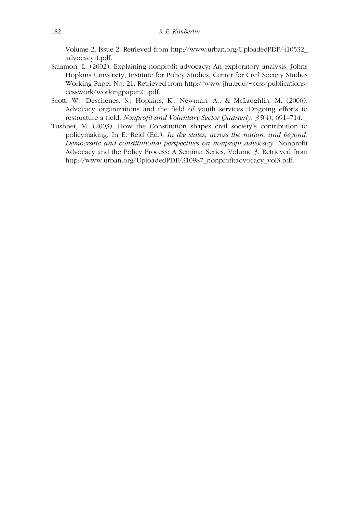Volume 2, Issue 2. Retrieved from http://www.urban.org/UploadedPDF/410532\_ advocacyII.pdf.

- Salamon, L. (2002). Explaining nonprofit advocacy: An exploratory analysis. Johns Hopkins University, Institute for Policy Studies, Center for Civil Society Studies Working Paper No. 21. Retrieved from http://www.jhu.edu/~ccss/publications/ ccsswork/workingpaper21.pdf.
- Scott, W., Deschenes, S., Hopkins, K., Newman, A., & McLaughlin, M. (2006). Advocacy organizations and the field of youth services: Ongoing efforts to restructure a field. *Nonprofit and Voluntary Sector Quarterly*, *35*(4), 691–714.
- Tushnet, M. (2003). How the Constitution shapes civil society's contribution to policymaking. In E. Reid (Ed.), *In the states, across the nation, and beyond: Democratic and constitutional perspectives on nonprofit advocacy*. Nonprofit Advocacy and the Policy Process: A Seminar Series, Volume 3. Retrieved from http://www.urban.org/UploadedPDF/310987\_nonprofitadvocacy\_vol3.pdf.